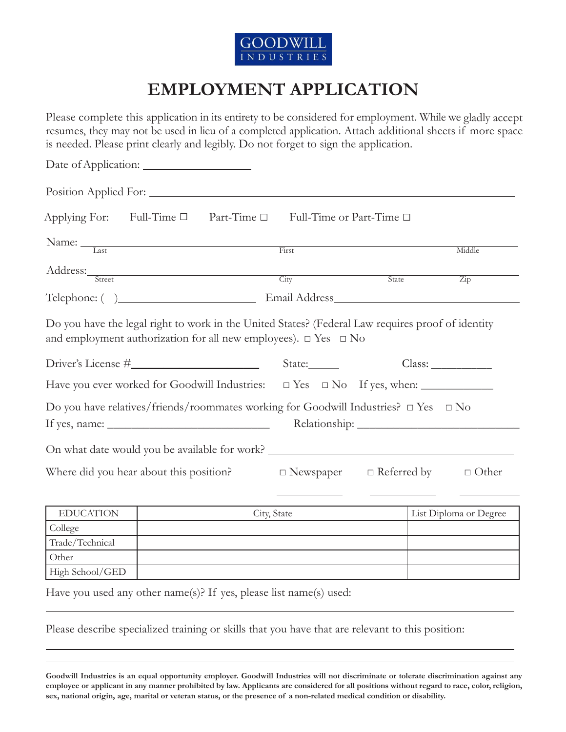

# **EMPLOYMENT APPLICATION**

Please complete this application in its entirety to be considered for employment. While we gladly accept resumes, they may not be used in lieu of a completed application. Attach additional sheets if more space is needed. Please print clearly and legibly. Do not forget to sign the application.

| Position Applied For:                                                                                                                                                                                                                                                                                                                                                                      |             |                               |       |                    |                        |
|--------------------------------------------------------------------------------------------------------------------------------------------------------------------------------------------------------------------------------------------------------------------------------------------------------------------------------------------------------------------------------------------|-------------|-------------------------------|-------|--------------------|------------------------|
| Applying For: Full-Time $\Box$ Part-Time $\Box$                                                                                                                                                                                                                                                                                                                                            |             | Full-Time or Part-Time $\Box$ |       |                    |                        |
| Name: Last                                                                                                                                                                                                                                                                                                                                                                                 |             | First                         |       |                    | Middle                 |
| Address: Street                                                                                                                                                                                                                                                                                                                                                                            |             | City                          | State |                    | $\overline{Zip}$       |
| Telephone: ()                                                                                                                                                                                                                                                                                                                                                                              |             |                               |       |                    |                        |
| Do you have the legal right to work in the United States? (Federal Law requires proof of identity<br>and employment authorization for all new employees). $\Box$ Yes $\Box$ No                                                                                                                                                                                                             |             |                               |       |                    |                        |
|                                                                                                                                                                                                                                                                                                                                                                                            |             |                               |       |                    | Class:                 |
| Have you ever worked for Goodwill Industries: $\square$ Yes $\square$ No If yes, when:                                                                                                                                                                                                                                                                                                     |             |                               |       |                    |                        |
| Do you have relatives/friends/roommates working for Goodwill Industries? $\Box$ Yes $\Box$ No<br>If yes, name: $\frac{1}{2}$ and $\frac{1}{2}$ and $\frac{1}{2}$ and $\frac{1}{2}$ and $\frac{1}{2}$ and $\frac{1}{2}$ and $\frac{1}{2}$ and $\frac{1}{2}$ and $\frac{1}{2}$ and $\frac{1}{2}$ and $\frac{1}{2}$ and $\frac{1}{2}$ and $\frac{1}{2}$ and $\frac{1}{2}$ and $\frac{1}{2}$ a |             |                               |       |                    |                        |
| On what date would you be available for work? __________________________________                                                                                                                                                                                                                                                                                                           |             |                               |       |                    |                        |
| Where did you hear about this position?                                                                                                                                                                                                                                                                                                                                                    |             | $\Box$ Newspaper              |       | $\Box$ Referred by | $\Box$ Other           |
| <b>EDUCATION</b>                                                                                                                                                                                                                                                                                                                                                                           | City, State |                               |       |                    | List Diploma or Degree |

| <b>EDUCATION</b> | City, state | List Dipionia of Degree |
|------------------|-------------|-------------------------|
| College          |             |                         |
| Trade/Technical  |             |                         |
| Other            |             |                         |
| High School/GED  |             |                         |

Have you used any other name(s)? If yes, please list name(s) used:

Please describe specialized training or skills that you have that are relevant to this position:

Goodwill Industries is an equal opportunity employer. Goodwill Industries will not discriminate or tolerate discrimination against any employee or applicant in any manner prohibited by law. Applicants are considered for all positions without regard to race, color, religion, **sex, national origin, age, marital or veteran status, or the presence of a non-related medical condition or disability.**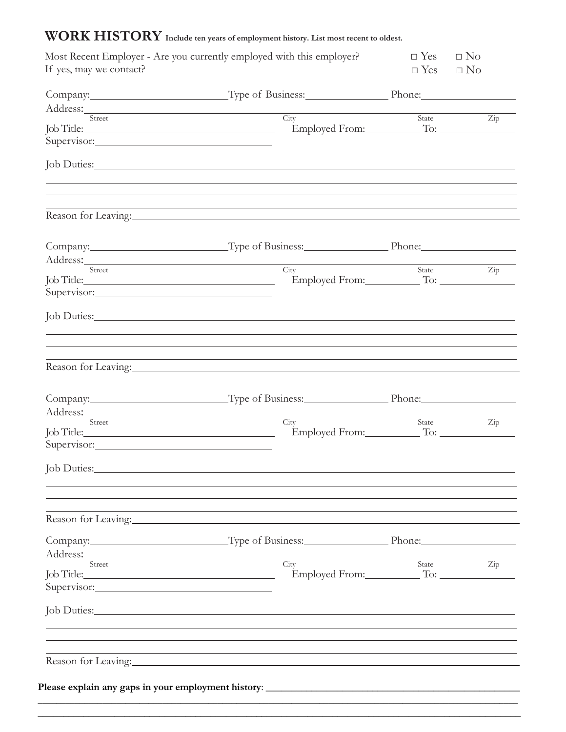## **WORK HISTORY Include ten years of employment history. List most recent to oldest.**

| Most Recent Employer - Are you currently employed with this employer? |                                                                                                                   | $\Box$ Yes $\Box$ No<br>$\square$ No                                                                                                                                                                                                                                                                                                                                                                                                                                                                                                                                                                                                                                                                                    |
|-----------------------------------------------------------------------|-------------------------------------------------------------------------------------------------------------------|-------------------------------------------------------------------------------------------------------------------------------------------------------------------------------------------------------------------------------------------------------------------------------------------------------------------------------------------------------------------------------------------------------------------------------------------------------------------------------------------------------------------------------------------------------------------------------------------------------------------------------------------------------------------------------------------------------------------------|
|                                                                       |                                                                                                                   |                                                                                                                                                                                                                                                                                                                                                                                                                                                                                                                                                                                                                                                                                                                         |
|                                                                       |                                                                                                                   |                                                                                                                                                                                                                                                                                                                                                                                                                                                                                                                                                                                                                                                                                                                         |
|                                                                       |                                                                                                                   | $\overline{Zip}$                                                                                                                                                                                                                                                                                                                                                                                                                                                                                                                                                                                                                                                                                                        |
|                                                                       |                                                                                                                   |                                                                                                                                                                                                                                                                                                                                                                                                                                                                                                                                                                                                                                                                                                                         |
|                                                                       |                                                                                                                   |                                                                                                                                                                                                                                                                                                                                                                                                                                                                                                                                                                                                                                                                                                                         |
|                                                                       |                                                                                                                   |                                                                                                                                                                                                                                                                                                                                                                                                                                                                                                                                                                                                                                                                                                                         |
|                                                                       |                                                                                                                   |                                                                                                                                                                                                                                                                                                                                                                                                                                                                                                                                                                                                                                                                                                                         |
|                                                                       |                                                                                                                   |                                                                                                                                                                                                                                                                                                                                                                                                                                                                                                                                                                                                                                                                                                                         |
|                                                                       |                                                                                                                   |                                                                                                                                                                                                                                                                                                                                                                                                                                                                                                                                                                                                                                                                                                                         |
|                                                                       | State                                                                                                             | Zip                                                                                                                                                                                                                                                                                                                                                                                                                                                                                                                                                                                                                                                                                                                     |
|                                                                       |                                                                                                                   |                                                                                                                                                                                                                                                                                                                                                                                                                                                                                                                                                                                                                                                                                                                         |
|                                                                       |                                                                                                                   |                                                                                                                                                                                                                                                                                                                                                                                                                                                                                                                                                                                                                                                                                                                         |
|                                                                       |                                                                                                                   |                                                                                                                                                                                                                                                                                                                                                                                                                                                                                                                                                                                                                                                                                                                         |
|                                                                       |                                                                                                                   |                                                                                                                                                                                                                                                                                                                                                                                                                                                                                                                                                                                                                                                                                                                         |
|                                                                       |                                                                                                                   |                                                                                                                                                                                                                                                                                                                                                                                                                                                                                                                                                                                                                                                                                                                         |
|                                                                       |                                                                                                                   | State<br>$\overline{Zip}$                                                                                                                                                                                                                                                                                                                                                                                                                                                                                                                                                                                                                                                                                               |
|                                                                       |                                                                                                                   |                                                                                                                                                                                                                                                                                                                                                                                                                                                                                                                                                                                                                                                                                                                         |
| Job Duties: New York Duties:                                          |                                                                                                                   |                                                                                                                                                                                                                                                                                                                                                                                                                                                                                                                                                                                                                                                                                                                         |
|                                                                       |                                                                                                                   |                                                                                                                                                                                                                                                                                                                                                                                                                                                                                                                                                                                                                                                                                                                         |
|                                                                       |                                                                                                                   |                                                                                                                                                                                                                                                                                                                                                                                                                                                                                                                                                                                                                                                                                                                         |
|                                                                       |                                                                                                                   |                                                                                                                                                                                                                                                                                                                                                                                                                                                                                                                                                                                                                                                                                                                         |
|                                                                       | State                                                                                                             | Zip                                                                                                                                                                                                                                                                                                                                                                                                                                                                                                                                                                                                                                                                                                                     |
|                                                                       |                                                                                                                   |                                                                                                                                                                                                                                                                                                                                                                                                                                                                                                                                                                                                                                                                                                                         |
|                                                                       |                                                                                                                   |                                                                                                                                                                                                                                                                                                                                                                                                                                                                                                                                                                                                                                                                                                                         |
|                                                                       |                                                                                                                   |                                                                                                                                                                                                                                                                                                                                                                                                                                                                                                                                                                                                                                                                                                                         |
| Reason for Leaving: 1988. The Manual Assembly Reason for Leaving:     |                                                                                                                   |                                                                                                                                                                                                                                                                                                                                                                                                                                                                                                                                                                                                                                                                                                                         |
|                                                                       |                                                                                                                   |                                                                                                                                                                                                                                                                                                                                                                                                                                                                                                                                                                                                                                                                                                                         |
|                                                                       | Supervisor:<br>Address: Street City<br>Supervisor:<br>Address: Street City<br>Address: Street City<br>Supervisor: | $\Box$ Yes<br>Company: Type of Business: Phone: Phone:<br>Address: Street City<br>State<br>Employed From: To: To:<br>Job Duties: New York Changes and Section 2014<br>Reason for Leaving: New York Changes and the contract of the contract of the contract of the contract of the contract of the contract of the contract of the contract of the contract of the contract of the contract of the c<br>Company: Type of Business: Phone: Phone:<br>,我们也不能会有一个人的事情。""我们的人们是不是我们的人,我们也不能会有一个人的人,我们也不能会有一个人的人,我们也不能会有一个人的人,我们也不能会有一个人的人<br>Company: Type of Business: Phone: Phone:<br>Reason for Leaving: New York Changes and Season for Leaving:<br>Company: Type of Business: Phone: Phone:<br>Employed From: To: To: |

\_\_\_\_\_\_\_\_\_\_\_\_\_\_\_\_\_\_\_\_\_\_\_\_\_\_\_\_\_\_\_\_\_\_\_\_\_\_\_\_\_\_\_\_\_\_\_\_\_\_\_\_\_\_\_\_\_\_\_\_\_\_\_\_\_\_\_\_\_\_\_\_\_\_\_\_\_\_\_\_\_\_\_\_\_\_\_\_\_\_\_\_\_\_\_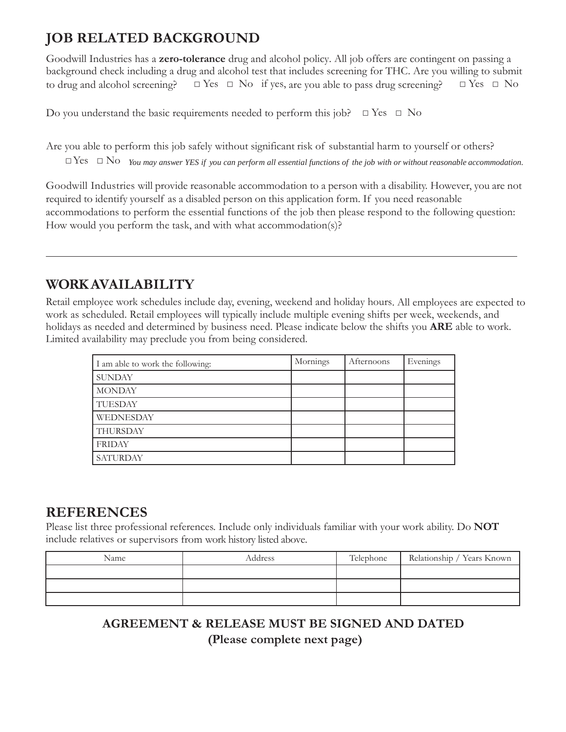### **JOB RELATED BACKGROUND**

Goodwill Industries has a **zero-tolerance** drug and alcohol policy. All job offers are contingent on passing a background check including a drug and alcohol test that includes screening for THC. Are you willing to submit to drug and alcohol screening?  $\Box$  Yes  $\Box$  No if yes, are you able to pass drug screening?  $\Box$  Yes  $\Box$  No

Do you understand the basic requirements needed to perform this job?  $\Box$  Yes  $\Box$  No

Are you able to perform this job safely without significant risk of substantial harm to yourself or others?  $\Box$  Yes  $\Box$  No You may answer YES if you can perform all essential functions of the job with or without reasonable accommodation.

Goodwill Industries will provide reasonable accommodation to a person with a disability. However, you are not required to identify yourself as a disabled person on this application form. If you need reasonable accommodations to perform the essential functions of the job then please respond to the following question: How would you perform the task, and with what accommodation(s)?

#### **WORK AVAILABILITY**

Retail employee work schedules include day, evening, weekend and holiday hours. All employees are expected to work as scheduled. Retail employees will typically include multiple evening shifts per week, weekends, and holidays as needed and determined by business need. Please indicate below the shifts you **ARE** able to work. Limited availability may preclude you from being considered.

| I am able to work the following: | Mornings | Afternoons | Evenings |
|----------------------------------|----------|------------|----------|
| <b>SUNDAY</b>                    |          |            |          |
| <b>MONDAY</b>                    |          |            |          |
| TUESDAY                          |          |            |          |
| WEDNESDAY                        |          |            |          |
| THURSDAY                         |          |            |          |
| <b>FRIDAY</b>                    |          |            |          |
| <b>SATURDAY</b>                  |          |            |          |

#### **REFERENCES**

Please list three professional references. Include only individuals familiar with your work ability. Do **NOT**  include relatives or supervisors from work history listed above.

| Name | Address | Telephone | Relationship / Years Known |
|------|---------|-----------|----------------------------|
|      |         |           |                            |
|      |         |           |                            |
|      |         |           |                            |

#### **AGREEMENT & RELEASE MUST BE SIGNED AND DATED (Please complete next page)**